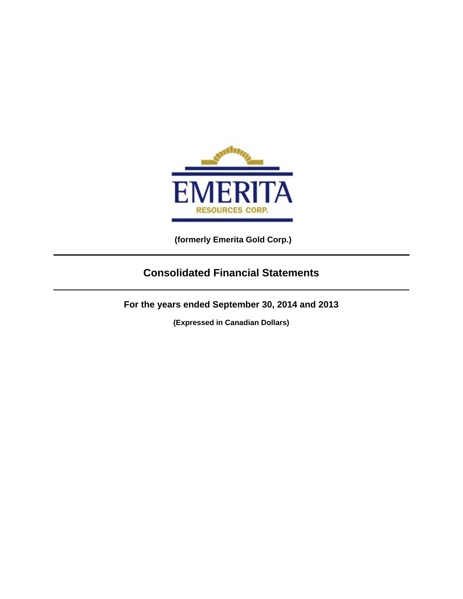

**(formerly Emerita Gold Corp.)**

# **Consolidated Financial Statements**

**For the years ended September 30, 2014 and 2013**

**(Expressed in Canadian Dollars)**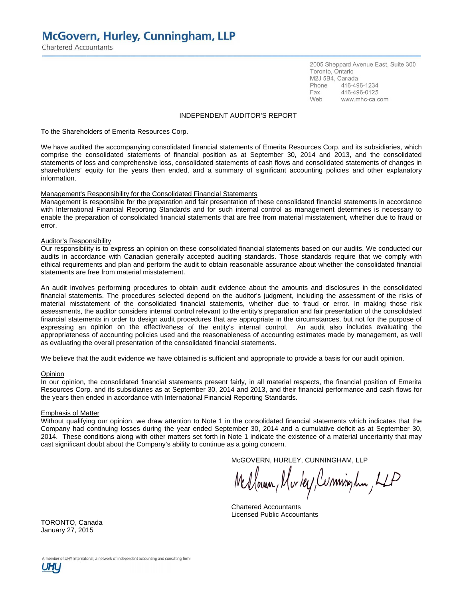**McGovern, Hurley, Cunningham, LLP** 

**Chartered Accountants** 

2005 Sheppard Avenue East, Suite 300 Toronto, Ontario M2J 5B4, Canada 416-496-1234 Phone Fax 416-496-0125 Web www.mhc-ca.com

#### INDEPENDE ENT AUDITOR R'S REPORT

To the Shareholders of Emerita Resources Corp.

We have audited the accompanying consolidated financial statements of Emerita Resources Corp. and its subsidiaries, which comprise the consolidated statements of financial position as at September 30, 2014 and 2013, and the consolidated statements of loss and comprehensive loss, consolidated statements of cash flows and consolidated statements of changes in shareholders' equity for the years then ended, and a summary of significant accounting policies and other explanatory in nformation.

#### Management's Responsibility for the Consolidated Financial Statements

Management is responsible for the preparation and fair presentation of these consolidated financial statements in accordance with International Financial Reporting Standards and for such internal control as management determines is necessary to enable the preparation of consolidated financial statements that are free from material misstatement, whether due to fraud or e error.

#### Auditor's Responsibility

Our responsibility is to express an opinion on these consolidated financial statements based on our audits. We conducted our audits in accordance with Canadian generally accepted auditing standards. Those standards require that we comply with ethical requirements and plan and perform the audit to obtain reasonable assurance about whether the consolidated financial statements are free from material misstatement.

An audit involves performing procedures to obtain audit evidence about the amounts and disclosures in the consolidated financial statements. The procedures selected depend on the auditor's judgment, including the assessment of the risks of material misstatement of the consolidated financial statements, whether due to fraud or error. In making those risk assessments, the auditor considers internal control relevant to the entity's preparation and fair presentation of the consolidated financial statements in order to design audit procedures that are appropriate in the circumstances, but not for the purpose of expressing an opinion on the effectiveness of the entity's internal control. An audit also includes evaluating the appropriateness of accounting policies used and the reasonableness of accounting estimates made by management, as well as evaluating the overall presentation of the consolidated financial statements.

We believe that the audit evidence we have obtained is sufficient and appropriate to provide a basis for our audit opinion.

#### O Opinion

In our opinion, the consolidated financial statements present fairly, in all material respects, the financial position of Emerita Resources Corp. and its subsidiaries as at September 30, 2014 and 2013, and their financial performance and cash flows for the years then ended in accordance with International Financial Reporting Standards.

#### **Emphasis of Matter**

Without qualifying our opinion, we draw attention to Note 1 in the consolidated financial statements which indicates that the Company had continuing losses during the year ended September 30, 2014 and a cumulative deficit as at September 30, 2014. These conditions along with other matters set forth in Note 1 indicate the existence of a material uncertainty that may cast significant doubt about the Company's ability to continue as a going concern.

McGOVERN, HURLEY, CUNNINGHAM, LLP

Melloum, Murley, Curming Lup

Chartered d Accountants Licensed Public Accountants

T TORONTO, Ca anada J January 27, 20 15

member of UHY Internatonal, a network of independent accounting and consulting firms

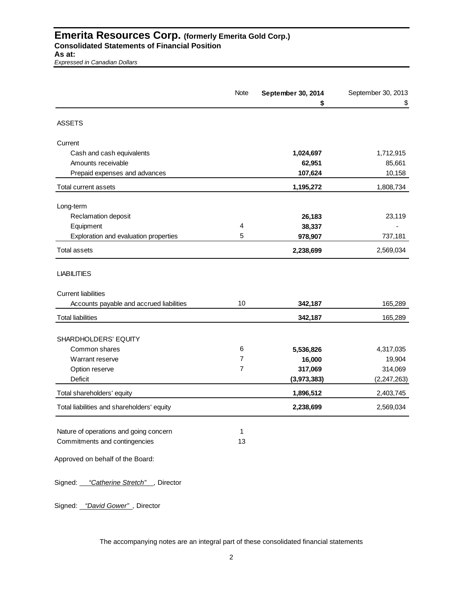**As at:** 

*Expressed in Canadian Dollars* 

|                                                                                              | Note           | September 30, 2014<br>\$ | September 30, 2013<br>\$ |
|----------------------------------------------------------------------------------------------|----------------|--------------------------|--------------------------|
| <b>ASSETS</b>                                                                                |                |                          |                          |
| Current                                                                                      |                |                          |                          |
| Cash and cash equivalents                                                                    |                | 1,024,697                | 1,712,915                |
| Amounts receivable                                                                           |                | 62,951                   | 85,661                   |
| Prepaid expenses and advances                                                                |                | 107,624                  | 10,158                   |
| Total current assets                                                                         |                | 1,195,272                | 1,808,734                |
| Long-term                                                                                    |                |                          |                          |
| Reclamation deposit                                                                          |                | 26,183                   | 23,119                   |
| Equipment                                                                                    | 4              | 38,337                   |                          |
| Exploration and evaluation properties                                                        | 5              | 978,907                  | 737,181                  |
| Total assets                                                                                 |                | 2,238,699                | 2,569,034                |
| <b>LIABILITIES</b><br><b>Current liabilities</b><br>Accounts payable and accrued liabilities | 10             |                          | 165,289                  |
|                                                                                              |                | 342,187                  |                          |
| <b>Total liabilities</b>                                                                     |                | 342,187                  | 165,289                  |
| SHARDHOLDERS' EQUITY                                                                         |                |                          |                          |
| Common shares                                                                                | 6              | 5,536,826                | 4,317,035                |
| Warrant reserve                                                                              | $\overline{7}$ | 16,000                   | 19,904                   |
| Option reserve                                                                               | $\overline{7}$ | 317,069                  | 314,069                  |
| <b>Deficit</b>                                                                               |                | (3,973,383)              | (2,247,263)              |
| Total shareholders' equity                                                                   |                | 1,896,512                | 2,403,745                |
| Total liabilities and shareholders' equity                                                   |                | 2,238,699                | 2,569,034                |
| Nature of operations and going concern                                                       | $\mathbf{1}$   |                          |                          |
| Commitments and contingencies                                                                | 13             |                          |                          |
| Approved on behalf of the Board:                                                             |                |                          |                          |

Signed: *"Catherine Stretch" ,* Director

Signed: *"David Gower" ,* Director

The accompanying notes are an integral part of these consolidated financial statements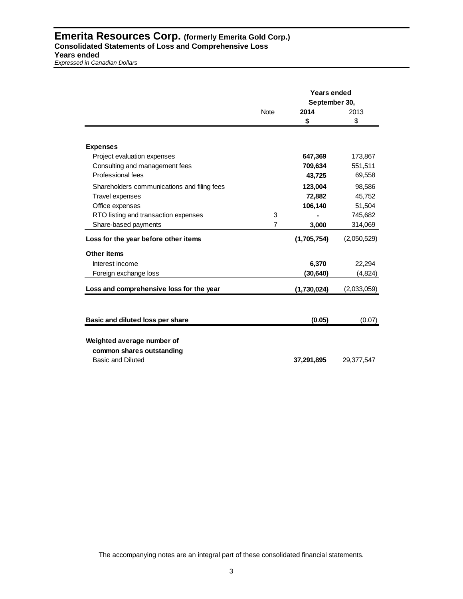*Expressed in Canadian Dollars*

|                                                       |             | <b>Years ended</b><br>September 30, |             |
|-------------------------------------------------------|-------------|-------------------------------------|-------------|
|                                                       | <b>Note</b> | 2014                                | 2013        |
|                                                       |             | \$                                  | \$          |
| <b>Expenses</b>                                       |             |                                     |             |
| Project evaluation expenses                           |             | 647,369                             | 173,867     |
| Consulting and management fees                        |             | 709,634                             | 551,511     |
| Professional fees                                     |             | 43,725                              | 69,558      |
| Shareholders communications and filing fees           |             | 123,004                             | 98,586      |
| Travel expenses                                       |             | 72,882                              | 45,752      |
| Office expenses                                       |             | 106,140                             | 51,504      |
| RTO listing and transaction expenses                  | 3           |                                     | 745,682     |
| Share-based payments                                  | 7           | 3,000                               | 314,069     |
| Loss for the year before other items                  |             | (1,705,754)                         | (2,050,529) |
| Other items                                           |             |                                     |             |
| Interest income                                       |             | 6,370                               | 22,294      |
| Foreign exchange loss                                 |             | (30, 640)                           | (4,824)     |
| Loss and comprehensive loss for the year              |             | (1,730,024)                         | (2,033,059) |
|                                                       |             |                                     |             |
| Basic and diluted loss per share                      |             | (0.05)                              | (0.07)      |
|                                                       |             |                                     |             |
| Weighted average number of                            |             |                                     |             |
| common shares outstanding<br><b>Basic and Diluted</b> |             |                                     |             |
|                                                       |             | 37,291,895                          | 29,377,547  |

The accompanying notes are an integral part of these consolidated financial statements.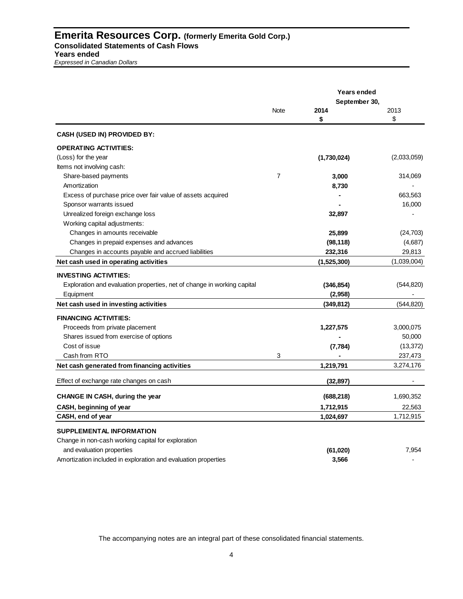|                                                                         |                | Years ended<br>September 30, |             |  |  |
|-------------------------------------------------------------------------|----------------|------------------------------|-------------|--|--|
|                                                                         | <b>Note</b>    | 2014                         | 2013        |  |  |
|                                                                         |                | \$                           | \$          |  |  |
| CASH (USED IN) PROVIDED BY:                                             |                |                              |             |  |  |
| <b>OPERATING ACTIVITIES:</b>                                            |                |                              |             |  |  |
| (Loss) for the year                                                     |                | (1,730,024)                  | (2,033,059) |  |  |
| Items not involving cash:                                               |                |                              |             |  |  |
| Share-based payments                                                    | $\overline{7}$ | 3,000                        | 314,069     |  |  |
| Amortization                                                            |                | 8,730                        |             |  |  |
| Excess of purchase price over fair value of assets acquired             |                |                              | 663,563     |  |  |
| Sponsor warrants issued                                                 |                |                              | 16,000      |  |  |
| Unrealized foreign exchange loss                                        |                | 32,897                       |             |  |  |
| Working capital adjustments:                                            |                |                              |             |  |  |
| Changes in amounts receivable                                           |                | 25,899                       | (24, 703)   |  |  |
| Changes in prepaid expenses and advances                                |                | (98, 118)                    | (4,687)     |  |  |
| Changes in accounts payable and accrued liabilities                     |                | 232,316                      | 29,813      |  |  |
| Net cash used in operating activities                                   |                | (1,525,300)                  | (1,039,004) |  |  |
| <b>INVESTING ACTIVITIES:</b>                                            |                |                              |             |  |  |
| Exploration and evaluation properties, net of change in working capital |                | (346, 854)                   | (544, 820)  |  |  |
| Equipment                                                               |                | (2,958)                      |             |  |  |
| Net cash used in investing activities                                   |                | (349, 812)                   | (544, 820)  |  |  |
| <b>FINANCING ACTIVITIES:</b>                                            |                |                              |             |  |  |
| Proceeds from private placement                                         |                | 1,227,575                    | 3,000,075   |  |  |
| Shares issued from exercise of options                                  |                |                              | 50,000      |  |  |
| Cost of issue                                                           |                | (7, 784)                     | (13, 372)   |  |  |
| Cash from RTO                                                           | 3              |                              | 237,473     |  |  |
| Net cash generated from financing activities                            |                | 1,219,791                    | 3,274,176   |  |  |
| Effect of exchange rate changes on cash                                 |                | (32, 897)                    |             |  |  |
| <b>CHANGE IN CASH, during the year</b>                                  |                | (688, 218)                   | 1,690,352   |  |  |
| CASH, beginning of year                                                 |                | 1,712,915                    | 22,563      |  |  |
| CASH, end of year                                                       |                | 1,024,697                    | 1,712,915   |  |  |
| <b>SUPPLEMENTAL INFORMATION</b>                                         |                |                              |             |  |  |
| Change in non-cash working capital for exploration                      |                |                              |             |  |  |
| and evaluation properties                                               |                | (61, 020)                    | 7,954       |  |  |
| Amortization included in exploration and evaluation properties          |                | 3,566                        |             |  |  |

The accompanying notes are an integral part of these consolidated financial statements.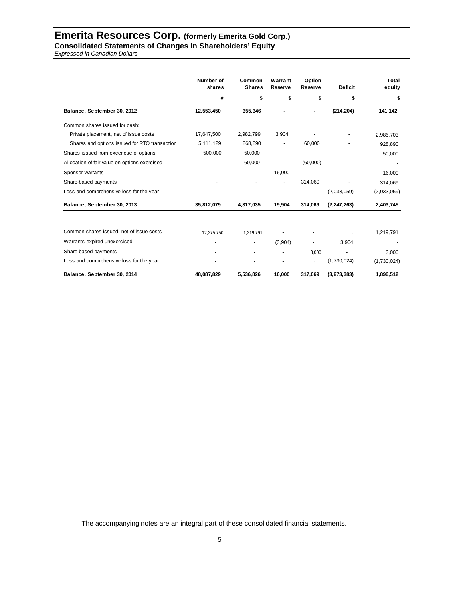## **Emerita Resources Corp. (formerly Emerita Gold Corp.)**

**Consolidated Statements of Changes in Shareholders' Equity** 

*Expressed in Canadian Dollars* 

|                                               | Number of<br>shares | Common<br><b>Shares</b> | Warrant<br>Reserve | Option<br>Reserve        | <b>Deficit</b> | Total<br>equity |
|-----------------------------------------------|---------------------|-------------------------|--------------------|--------------------------|----------------|-----------------|
|                                               | #                   | \$                      | \$                 | \$                       | \$             | \$              |
| Balance, September 30, 2012                   | 12,553,450          | 355,346                 |                    |                          | (214, 204)     | 141,142         |
| Common shares issued for cash:                |                     |                         |                    |                          |                |                 |
| Private placement, net of issue costs         | 17,647,500          | 2,982,799               | 3,904              |                          |                | 2,986,703       |
| Shares and options issued for RTO transaction | 5,111,129           | 868,890                 |                    | 60,000                   |                | 928,890         |
| Shares issued from excericse of options       | 500,000             | 50,000                  |                    |                          |                | 50,000          |
| Allocation of fair value on options exercised |                     | 60,000                  |                    | (60,000)                 |                |                 |
| Sponsor warrants                              |                     |                         | 16.000             | ٠                        |                | 16,000          |
| Share-based payments                          |                     |                         |                    | 314,069                  |                | 314,069         |
| Loss and comprehensive loss for the year      |                     |                         |                    | ÷,                       | (2,033,059)    | (2,033,059)     |
| Balance, September 30, 2013                   | 35,812,079          | 4,317,035               | 19,904             | 314,069                  | (2, 247, 263)  | 2,403,745       |
| Common shares issued, net of issue costs      | 12.275.750          | 1.219.791               |                    |                          |                | 1,219,791       |
| Warrants expired unexercised                  |                     | ٠                       | (3,904)            |                          | 3,904          |                 |
| Share-based payments                          |                     |                         |                    | 3,000                    |                | 3,000           |
| Loss and comprehensive loss for the year      |                     | ٠                       |                    | $\overline{\phantom{a}}$ | (1,730,024)    | (1,730,024)     |
| Balance, September 30, 2014                   | 48,087,829          | 5.536.826               | 16,000             | 317,069                  | (3,973,383)    | 1,896,512       |

The accompanying notes are an integral part of these consolidated financial statements.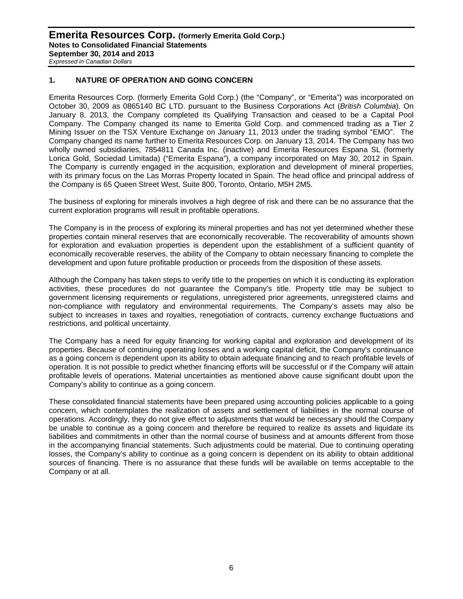## **1. NATURE OF OPERATION AND GOING CONCERN**

Emerita Resources Corp. (formerly Emerita Gold Corp.) (the "Company", or "Emerita") was incorporated on October 30, 2009 as 0865140 BC LTD. pursuant to the Business Corporations Act (*British Columbia*). On January 8, 2013, the Company completed its Qualifying Transaction and ceased to be a Capital Pool Company. The Company changed its name to Emerita Gold Corp. and commenced trading as a Tier 2 Mining Issuer on the TSX Venture Exchange on January 11, 2013 under the trading symbol "EMO". The Company changed its name further to Emerita Resources Corp. on January 13, 2014. The Company has two wholly owned subsidiaries, 7854811 Canada Inc. (inactive) and Emerita Resources Espana SL (formerly Lorica Gold, Sociedad Limitada) ("Emerita Espana"), a company incorporated on May 30, 2012 in Spain. The Company is currently engaged in the acquisition, exploration and development of mineral properties, with its primary focus on the Las Morras Property located in Spain. The head office and principal address of the Company is 65 Queen Street West, Suite 800, Toronto, Ontario, M5H 2M5.

The business of exploring for minerals involves a high degree of risk and there can be no assurance that the current exploration programs will result in profitable operations.

The Company is in the process of exploring its mineral properties and has not yet determined whether these properties contain mineral reserves that are economically recoverable. The recoverability of amounts shown for exploration and evaluation properties is dependent upon the establishment of a sufficient quantity of economically recoverable reserves, the ability of the Company to obtain necessary financing to complete the development and upon future profitable production or proceeds from the disposition of these assets.

Although the Company has taken steps to verify title to the properties on which it is conducting its exploration activities, these procedures do not guarantee the Company's title. Property title may be subject to government licensing requirements or regulations, unregistered prior agreements, unregistered claims and non-compliance with regulatory and environmental requirements. The Company's assets may also be subject to increases in taxes and royalties, renegotiation of contracts, currency exchange fluctuations and restrictions, and political uncertainty.

The Company has a need for equity financing for working capital and exploration and development of its properties. Because of continuing operating losses and a working capital deficit, the Company's continuance as a going concern is dependent upon its ability to obtain adequate financing and to reach profitable levels of operation. It is not possible to predict whether financing efforts will be successful or if the Company will attain profitable levels of operations. Material uncertainties as mentioned above cause significant doubt upon the Company's ability to continue as a going concern.

These consolidated financial statements have been prepared using accounting policies applicable to a going concern, which contemplates the realization of assets and settlement of liabilities in the normal course of operations. Accordingly, they do not give effect to adjustments that would be necessary should the Company be unable to continue as a going concern and therefore be required to realize its assets and liquidate its liabilities and commitments in other than the normal course of business and at amounts different from those in the accompanying financial statements. Such adjustments could be material. Due to continuing operating losses, the Company's ability to continue as a going concern is dependent on its ability to obtain additional sources of financing. There is no assurance that these funds will be available on terms acceptable to the Company or at all.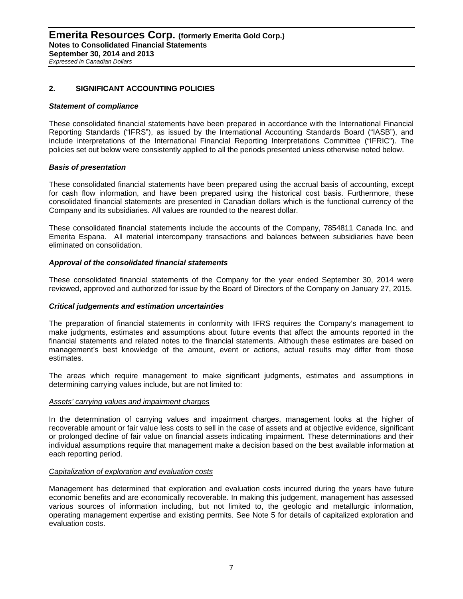## **2. SIGNIFICANT ACCOUNTING POLICIES**

#### *Statement of compliance*

These consolidated financial statements have been prepared in accordance with the International Financial Reporting Standards ("IFRS"), as issued by the International Accounting Standards Board ("IASB"), and include interpretations of the International Financial Reporting Interpretations Committee ("IFRIC"). The policies set out below were consistently applied to all the periods presented unless otherwise noted below.

#### *Basis of presentation*

These consolidated financial statements have been prepared using the accrual basis of accounting, except for cash flow information, and have been prepared using the historical cost basis. Furthermore, these consolidated financial statements are presented in Canadian dollars which is the functional currency of the Company and its subsidiaries. All values are rounded to the nearest dollar.

These consolidated financial statements include the accounts of the Company, 7854811 Canada Inc. and Emerita Espana. All material intercompany transactions and balances between subsidiaries have been eliminated on consolidation.

#### *Approval of the consolidated financial statements*

These consolidated financial statements of the Company for the year ended September 30, 2014 were reviewed, approved and authorized for issue by the Board of Directors of the Company on January 27, 2015.

#### *Critical judgements and estimation uncertainties*

The preparation of financial statements in conformity with IFRS requires the Company's management to make judgments, estimates and assumptions about future events that affect the amounts reported in the financial statements and related notes to the financial statements. Although these estimates are based on management's best knowledge of the amount, event or actions, actual results may differ from those estimates.

The areas which require management to make significant judgments, estimates and assumptions in determining carrying values include, but are not limited to:

#### *Assets' carrying values and impairment charges*

In the determination of carrying values and impairment charges, management looks at the higher of recoverable amount or fair value less costs to sell in the case of assets and at objective evidence, significant or prolonged decline of fair value on financial assets indicating impairment. These determinations and their individual assumptions require that management make a decision based on the best available information at each reporting period.

#### *Capitalization of exploration and evaluation costs*

Management has determined that exploration and evaluation costs incurred during the years have future economic benefits and are economically recoverable. In making this judgement, management has assessed various sources of information including, but not limited to, the geologic and metallurgic information, operating management expertise and existing permits. See Note 5 for details of capitalized exploration and evaluation costs.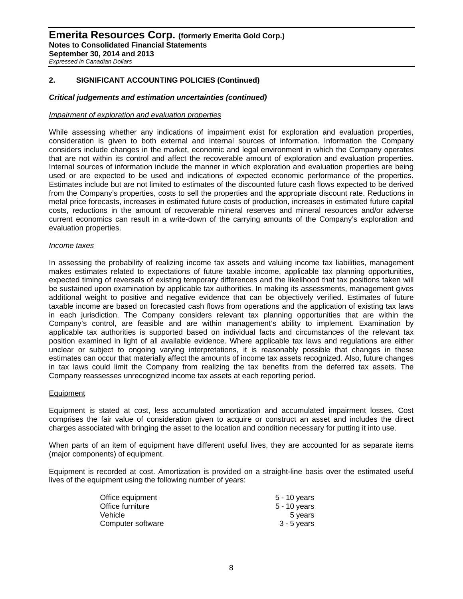#### *Critical judgements and estimation uncertainties (continued)*

#### *Impairment of exploration and evaluation properties*

While assessing whether any indications of impairment exist for exploration and evaluation properties, consideration is given to both external and internal sources of information. Information the Company considers include changes in the market, economic and legal environment in which the Company operates that are not within its control and affect the recoverable amount of exploration and evaluation properties. Internal sources of information include the manner in which exploration and evaluation properties are being used or are expected to be used and indications of expected economic performance of the properties. Estimates include but are not limited to estimates of the discounted future cash flows expected to be derived from the Company's properties, costs to sell the properties and the appropriate discount rate. Reductions in metal price forecasts, increases in estimated future costs of production, increases in estimated future capital costs, reductions in the amount of recoverable mineral reserves and mineral resources and/or adverse current economics can result in a write-down of the carrying amounts of the Company's exploration and evaluation properties.

#### *Income taxes*

In assessing the probability of realizing income tax assets and valuing income tax liabilities, management makes estimates related to expectations of future taxable income, applicable tax planning opportunities, expected timing of reversals of existing temporary differences and the likelihood that tax positions taken will be sustained upon examination by applicable tax authorities. In making its assessments, management gives additional weight to positive and negative evidence that can be objectively verified. Estimates of future taxable income are based on forecasted cash flows from operations and the application of existing tax laws in each jurisdiction. The Company considers relevant tax planning opportunities that are within the Company's control, are feasible and are within management's ability to implement. Examination by applicable tax authorities is supported based on individual facts and circumstances of the relevant tax position examined in light of all available evidence. Where applicable tax laws and regulations are either unclear or subject to ongoing varying interpretations, it is reasonably possible that changes in these estimates can occur that materially affect the amounts of income tax assets recognized. Also, future changes in tax laws could limit the Company from realizing the tax benefits from the deferred tax assets. The Company reassesses unrecognized income tax assets at each reporting period.

#### Equipment

Equipment is stated at cost, less accumulated amortization and accumulated impairment losses. Cost comprises the fair value of consideration given to acquire or construct an asset and includes the direct charges associated with bringing the asset to the location and condition necessary for putting it into use.

When parts of an item of equipment have different useful lives, they are accounted for as separate items (major components) of equipment.

Equipment is recorded at cost. Amortization is provided on a straight-line basis over the estimated useful lives of the equipment using the following number of years:

| Office equipment  | $5 - 10$ years |
|-------------------|----------------|
| Office furniture  | $5 - 10$ years |
| Vehicle           | 5 years        |
| Computer software | $3 - 5$ years  |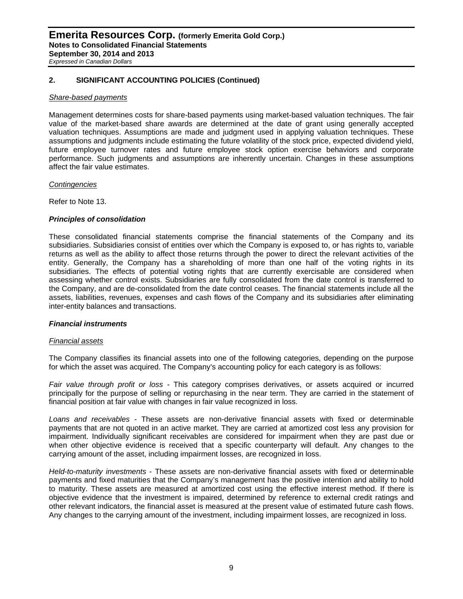#### *Share-based payments*

Management determines costs for share-based payments using market-based valuation techniques. The fair value of the market-based share awards are determined at the date of grant using generally accepted valuation techniques. Assumptions are made and judgment used in applying valuation techniques. These assumptions and judgments include estimating the future volatility of the stock price, expected dividend yield, future employee turnover rates and future employee stock option exercise behaviors and corporate performance. Such judgments and assumptions are inherently uncertain. Changes in these assumptions affect the fair value estimates.

#### *Contingencies*

Refer to Note 13.

#### *Principles of consolidation*

These consolidated financial statements comprise the financial statements of the Company and its subsidiaries. Subsidiaries consist of entities over which the Company is exposed to, or has rights to, variable returns as well as the ability to affect those returns through the power to direct the relevant activities of the entity. Generally, the Company has a shareholding of more than one half of the voting rights in its subsidiaries. The effects of potential voting rights that are currently exercisable are considered when assessing whether control exists. Subsidiaries are fully consolidated from the date control is transferred to the Company, and are de-consolidated from the date control ceases. The financial statements include all the assets, liabilities, revenues, expenses and cash flows of the Company and its subsidiaries after eliminating inter-entity balances and transactions.

#### *Financial instruments*

#### *Financial assets*

The Company classifies its financial assets into one of the following categories, depending on the purpose for which the asset was acquired. The Company's accounting policy for each category is as follows:

*Fair value through profit or loss -* This category comprises derivatives, or assets acquired or incurred principally for the purpose of selling or repurchasing in the near term. They are carried in the statement of financial position at fair value with changes in fair value recognized in loss.

*Loans and receivables -* These assets are non-derivative financial assets with fixed or determinable payments that are not quoted in an active market. They are carried at amortized cost less any provision for impairment. Individually significant receivables are considered for impairment when they are past due or when other objective evidence is received that a specific counterparty will default. Any changes to the carrying amount of the asset, including impairment losses, are recognized in loss.

*Held-to-maturity investments* - These assets are non-derivative financial assets with fixed or determinable payments and fixed maturities that the Company's management has the positive intention and ability to hold to maturity. These assets are measured at amortized cost using the effective interest method. If there is objective evidence that the investment is impaired, determined by reference to external credit ratings and other relevant indicators, the financial asset is measured at the present value of estimated future cash flows. Any changes to the carrying amount of the investment, including impairment losses, are recognized in loss.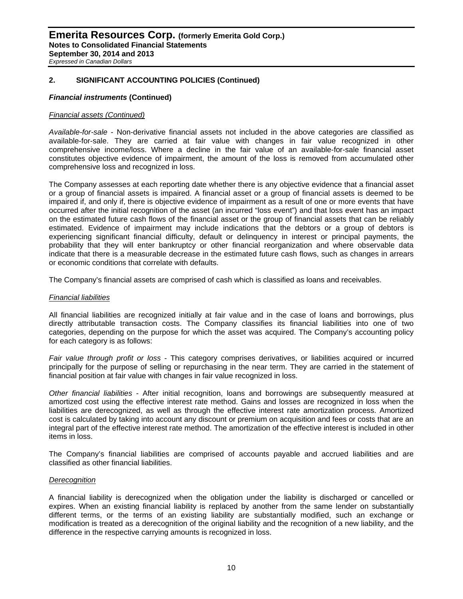## *Financial instruments* **(Continued)**

#### *Financial assets (Continued)*

*Available-for-sale* - Non-derivative financial assets not included in the above categories are classified as available-for-sale. They are carried at fair value with changes in fair value recognized in other comprehensive income/loss. Where a decline in the fair value of an available-for-sale financial asset constitutes objective evidence of impairment, the amount of the loss is removed from accumulated other comprehensive loss and recognized in loss.

The Company assesses at each reporting date whether there is any objective evidence that a financial asset or a group of financial assets is impaired. A financial asset or a group of financial assets is deemed to be impaired if, and only if, there is objective evidence of impairment as a result of one or more events that have occurred after the initial recognition of the asset (an incurred "loss event") and that loss event has an impact on the estimated future cash flows of the financial asset or the group of financial assets that can be reliably estimated. Evidence of impairment may include indications that the debtors or a group of debtors is experiencing significant financial difficulty, default or delinquency in interest or principal payments, the probability that they will enter bankruptcy or other financial reorganization and where observable data indicate that there is a measurable decrease in the estimated future cash flows, such as changes in arrears or economic conditions that correlate with defaults.

The Company's financial assets are comprised of cash which is classified as loans and receivables.

#### *Financial liabilities*

All financial liabilities are recognized initially at fair value and in the case of loans and borrowings, plus directly attributable transaction costs. The Company classifies its financial liabilities into one of two categories, depending on the purpose for which the asset was acquired. The Company's accounting policy for each category is as follows:

*Fair value through profit or loss* - This category comprises derivatives, or liabilities acquired or incurred principally for the purpose of selling or repurchasing in the near term. They are carried in the statement of financial position at fair value with changes in fair value recognized in loss.

*Other financial liabilities* - After initial recognition, loans and borrowings are subsequently measured at amortized cost using the effective interest rate method. Gains and losses are recognized in loss when the liabilities are derecognized, as well as through the effective interest rate amortization process. Amortized cost is calculated by taking into account any discount or premium on acquisition and fees or costs that are an integral part of the effective interest rate method. The amortization of the effective interest is included in other items in loss.

The Company's financial liabilities are comprised of accounts payable and accrued liabilities and are classified as other financial liabilities.

#### *Derecognition*

A financial liability is derecognized when the obligation under the liability is discharged or cancelled or expires. When an existing financial liability is replaced by another from the same lender on substantially different terms, or the terms of an existing liability are substantially modified, such an exchange or modification is treated as a derecognition of the original liability and the recognition of a new liability, and the difference in the respective carrying amounts is recognized in loss.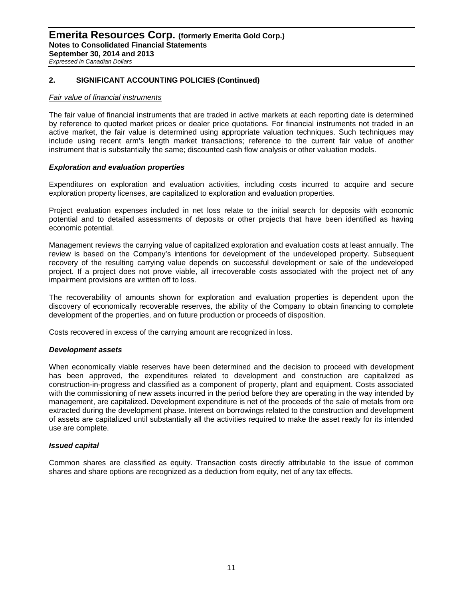#### *Fair value of financial instruments*

The fair value of financial instruments that are traded in active markets at each reporting date is determined by reference to quoted market prices or dealer price quotations. For financial instruments not traded in an active market, the fair value is determined using appropriate valuation techniques. Such techniques may include using recent arm's length market transactions; reference to the current fair value of another instrument that is substantially the same; discounted cash flow analysis or other valuation models.

#### *Exploration and evaluation properties*

Expenditures on exploration and evaluation activities, including costs incurred to acquire and secure exploration property licenses, are capitalized to exploration and evaluation properties.

Project evaluation expenses included in net loss relate to the initial search for deposits with economic potential and to detailed assessments of deposits or other projects that have been identified as having economic potential.

Management reviews the carrying value of capitalized exploration and evaluation costs at least annually. The review is based on the Company's intentions for development of the undeveloped property. Subsequent recovery of the resulting carrying value depends on successful development or sale of the undeveloped project. If a project does not prove viable, all irrecoverable costs associated with the project net of any impairment provisions are written off to loss.

The recoverability of amounts shown for exploration and evaluation properties is dependent upon the discovery of economically recoverable reserves, the ability of the Company to obtain financing to complete development of the properties, and on future production or proceeds of disposition.

Costs recovered in excess of the carrying amount are recognized in loss.

#### *Development assets*

When economically viable reserves have been determined and the decision to proceed with development has been approved, the expenditures related to development and construction are capitalized as construction-in-progress and classified as a component of property, plant and equipment. Costs associated with the commissioning of new assets incurred in the period before they are operating in the way intended by management, are capitalized. Development expenditure is net of the proceeds of the sale of metals from ore extracted during the development phase. Interest on borrowings related to the construction and development of assets are capitalized until substantially all the activities required to make the asset ready for its intended use are complete.

#### *Issued capital*

Common shares are classified as equity. Transaction costs directly attributable to the issue of common shares and share options are recognized as a deduction from equity, net of any tax effects.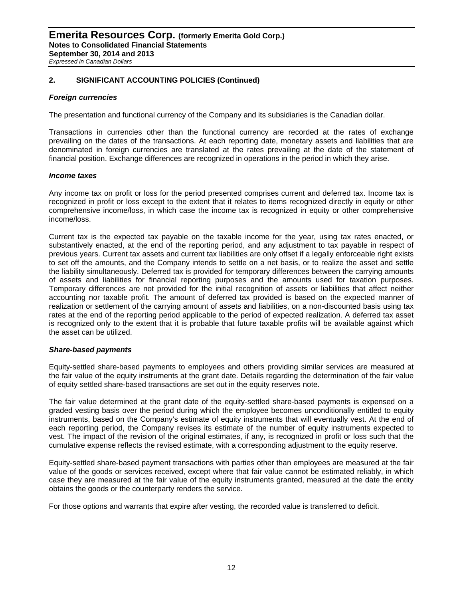#### *Foreign currencies*

The presentation and functional currency of the Company and its subsidiaries is the Canadian dollar.

Transactions in currencies other than the functional currency are recorded at the rates of exchange prevailing on the dates of the transactions. At each reporting date, monetary assets and liabilities that are denominated in foreign currencies are translated at the rates prevailing at the date of the statement of financial position. Exchange differences are recognized in operations in the period in which they arise.

#### *Income taxes*

Any income tax on profit or loss for the period presented comprises current and deferred tax. Income tax is recognized in profit or loss except to the extent that it relates to items recognized directly in equity or other comprehensive income/loss, in which case the income tax is recognized in equity or other comprehensive income/loss.

Current tax is the expected tax payable on the taxable income for the year, using tax rates enacted, or substantively enacted, at the end of the reporting period, and any adjustment to tax payable in respect of previous years. Current tax assets and current tax liabilities are only offset if a legally enforceable right exists to set off the amounts, and the Company intends to settle on a net basis, or to realize the asset and settle the liability simultaneously. Deferred tax is provided for temporary differences between the carrying amounts of assets and liabilities for financial reporting purposes and the amounts used for taxation purposes. Temporary differences are not provided for the initial recognition of assets or liabilities that affect neither accounting nor taxable profit. The amount of deferred tax provided is based on the expected manner of realization or settlement of the carrying amount of assets and liabilities, on a non-discounted basis using tax rates at the end of the reporting period applicable to the period of expected realization. A deferred tax asset is recognized only to the extent that it is probable that future taxable profits will be available against which the asset can be utilized.

#### *Share-based payments*

Equity-settled share-based payments to employees and others providing similar services are measured at the fair value of the equity instruments at the grant date. Details regarding the determination of the fair value of equity settled share-based transactions are set out in the equity reserves note.

The fair value determined at the grant date of the equity-settled share-based payments is expensed on a graded vesting basis over the period during which the employee becomes unconditionally entitled to equity instruments, based on the Company's estimate of equity instruments that will eventually vest. At the end of each reporting period, the Company revises its estimate of the number of equity instruments expected to vest. The impact of the revision of the original estimates, if any, is recognized in profit or loss such that the cumulative expense reflects the revised estimate, with a corresponding adjustment to the equity reserve.

Equity-settled share-based payment transactions with parties other than employees are measured at the fair value of the goods or services received, except where that fair value cannot be estimated reliably, in which case they are measured at the fair value of the equity instruments granted, measured at the date the entity obtains the goods or the counterparty renders the service.

For those options and warrants that expire after vesting, the recorded value is transferred to deficit.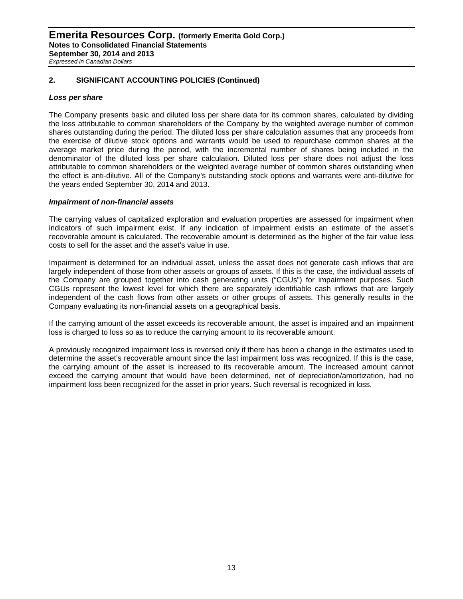#### *Loss per share*

The Company presents basic and diluted loss per share data for its common shares, calculated by dividing the loss attributable to common shareholders of the Company by the weighted average number of common shares outstanding during the period. The diluted loss per share calculation assumes that any proceeds from the exercise of dilutive stock options and warrants would be used to repurchase common shares at the average market price during the period, with the incremental number of shares being included in the denominator of the diluted loss per share calculation. Diluted loss per share does not adjust the loss attributable to common shareholders or the weighted average number of common shares outstanding when the effect is anti-dilutive. All of the Company's outstanding stock options and warrants were anti-dilutive for the years ended September 30, 2014 and 2013.

#### *Impairment of non-financial assets*

The carrying values of capitalized exploration and evaluation properties are assessed for impairment when indicators of such impairment exist. If any indication of impairment exists an estimate of the asset's recoverable amount is calculated. The recoverable amount is determined as the higher of the fair value less costs to sell for the asset and the asset's value in use.

Impairment is determined for an individual asset, unless the asset does not generate cash inflows that are largely independent of those from other assets or groups of assets. If this is the case, the individual assets of the Company are grouped together into cash generating units ("CGUs") for impairment purposes. Such CGUs represent the lowest level for which there are separately identifiable cash inflows that are largely independent of the cash flows from other assets or other groups of assets. This generally results in the Company evaluating its non-financial assets on a geographical basis.

If the carrying amount of the asset exceeds its recoverable amount, the asset is impaired and an impairment loss is charged to loss so as to reduce the carrying amount to its recoverable amount.

A previously recognized impairment loss is reversed only if there has been a change in the estimates used to determine the asset's recoverable amount since the last impairment loss was recognized. If this is the case, the carrying amount of the asset is increased to its recoverable amount. The increased amount cannot exceed the carrying amount that would have been determined, net of depreciation/amortization, had no impairment loss been recognized for the asset in prior years. Such reversal is recognized in loss.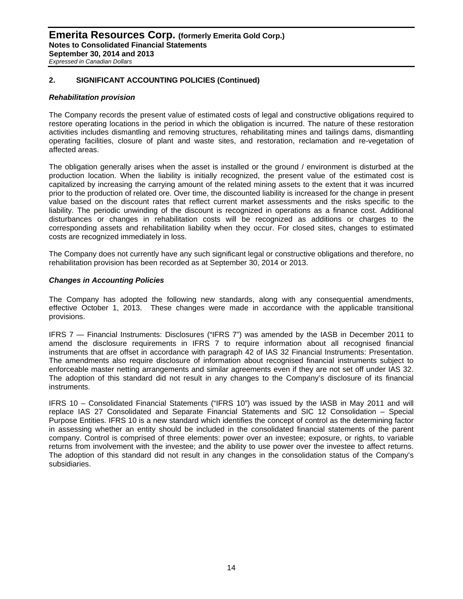#### *Rehabilitation provision*

The Company records the present value of estimated costs of legal and constructive obligations required to restore operating locations in the period in which the obligation is incurred. The nature of these restoration activities includes dismantling and removing structures, rehabilitating mines and tailings dams, dismantling operating facilities, closure of plant and waste sites, and restoration, reclamation and re-vegetation of affected areas.

The obligation generally arises when the asset is installed or the ground / environment is disturbed at the production location. When the liability is initially recognized, the present value of the estimated cost is capitalized by increasing the carrying amount of the related mining assets to the extent that it was incurred prior to the production of related ore. Over time, the discounted liability is increased for the change in present value based on the discount rates that reflect current market assessments and the risks specific to the liability. The periodic unwinding of the discount is recognized in operations as a finance cost. Additional disturbances or changes in rehabilitation costs will be recognized as additions or charges to the corresponding assets and rehabilitation liability when they occur. For closed sites, changes to estimated costs are recognized immediately in loss.

The Company does not currently have any such significant legal or constructive obligations and therefore, no rehabilitation provision has been recorded as at September 30, 2014 or 2013.

#### *Changes in Accounting Policies*

The Company has adopted the following new standards, along with any consequential amendments, effective October 1, 2013. These changes were made in accordance with the applicable transitional provisions.

IFRS 7 — Financial Instruments: Disclosures ("IFRS 7") was amended by the IASB in December 2011 to amend the disclosure requirements in IFRS 7 to require information about all recognised financial instruments that are offset in accordance with paragraph 42 of IAS 32 Financial Instruments: Presentation. The amendments also require disclosure of information about recognised financial instruments subject to enforceable master netting arrangements and similar agreements even if they are not set off under IAS 32. The adoption of this standard did not result in any changes to the Company's disclosure of its financial instruments.

IFRS 10 – Consolidated Financial Statements ("IFRS 10") was issued by the IASB in May 2011 and will replace IAS 27 Consolidated and Separate Financial Statements and SIC 12 Consolidation – Special Purpose Entities. IFRS 10 is a new standard which identifies the concept of control as the determining factor in assessing whether an entity should be included in the consolidated financial statements of the parent company. Control is comprised of three elements: power over an investee; exposure, or rights, to variable returns from involvement with the investee; and the ability to use power over the investee to affect returns. The adoption of this standard did not result in any changes in the consolidation status of the Company's subsidiaries.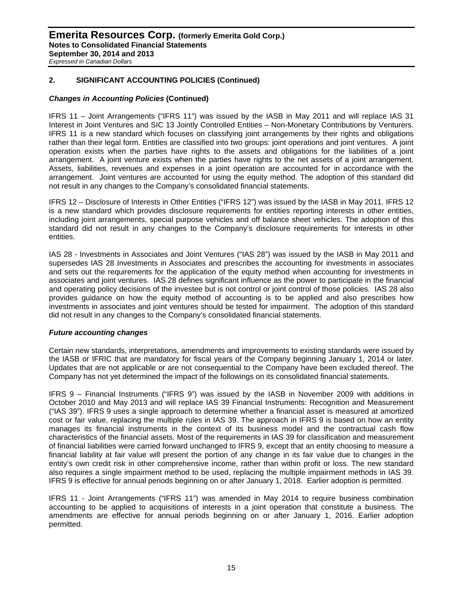#### *Changes in Accounting Policies* **(Continued)**

IFRS 11 – Joint Arrangements ("IFRS 11") was issued by the IASB in May 2011 and will replace IAS 31 Interest in Joint Ventures and SIC 13 Jointly Controlled Entities – Non-Monetary Contributions by Venturers. IFRS 11 is a new standard which focuses on classifying joint arrangements by their rights and obligations rather than their legal form. Entities are classified into two groups: joint operations and joint ventures. A joint operation exists when the parties have rights to the assets and obligations for the liabilities of a joint arrangement. A joint venture exists when the parties have rights to the net assets of a joint arrangement. Assets, liabilities, revenues and expenses in a joint operation are accounted for in accordance with the arrangement. Joint ventures are accounted for using the equity method. The adoption of this standard did not result in any changes to the Company's consolidated financial statements.

IFRS 12 – Disclosure of Interests in Other Entities ("IFRS 12") was issued by the IASB in May 2011. IFRS 12 is a new standard which provides disclosure requirements for entities reporting interests in other entities, including joint arrangements, special purpose vehicles and off balance sheet vehicles. The adoption of this standard did not result in any changes to the Company's disclosure requirements for interests in other entities.

IAS 28 - Investments in Associates and Joint Ventures ("IAS 28") was issued by the IASB in May 2011 and supersedes IAS 28 Investments in Associates and prescribes the accounting for investments in associates and sets out the requirements for the application of the equity method when accounting for investments in associates and joint ventures. IAS 28 defines significant influence as the power to participate in the financial and operating policy decisions of the investee but is not control or joint control of those policies. IAS 28 also provides guidance on how the equity method of accounting is to be applied and also prescribes how investments in associates and joint ventures should be tested for impairment. The adoption of this standard did not result in any changes to the Company's consolidated financial statements.

#### *Future accounting changes*

Certain new standards, interpretations, amendments and improvements to existing standards were issued by the IASB or IFRIC that are mandatory for fiscal years of the Company beginning January 1, 2014 or later. Updates that are not applicable or are not consequential to the Company have been excluded thereof. The Company has not yet determined the impact of the followings on its consolidated financial statements.

IFRS 9 – Financial Instruments ("IFRS 9") was issued by the IASB in November 2009 with additions in October 2010 and May 2013 and will replace IAS 39 Financial Instruments: Recognition and Measurement ("IAS 39"). IFRS 9 uses a single approach to determine whether a financial asset is measured at amortized cost or fair value, replacing the multiple rules in IAS 39. The approach in IFRS 9 is based on how an entity manages its financial instruments in the context of its business model and the contractual cash flow characteristics of the financial assets. Most of the requirements in IAS 39 for classification and measurement of financial liabilities were carried forward unchanged to IFRS 9, except that an entity choosing to measure a financial liability at fair value will present the portion of any change in its fair value due to changes in the entity's own credit risk in other comprehensive income, rather than within profit or loss. The new standard also requires a single impairment method to be used, replacing the multiple impairment methods in IAS 39. IFRS 9 is effective for annual periods beginning on or after January 1, 2018. Earlier adoption is permitted.

IFRS 11 - Joint Arrangements ("IFRS 11") was amended in May 2014 to require business combination accounting to be applied to acquisitions of interests in a joint operation that constitute a business. The amendments are effective for annual periods beginning on or after January 1, 2016. Earlier adoption permitted.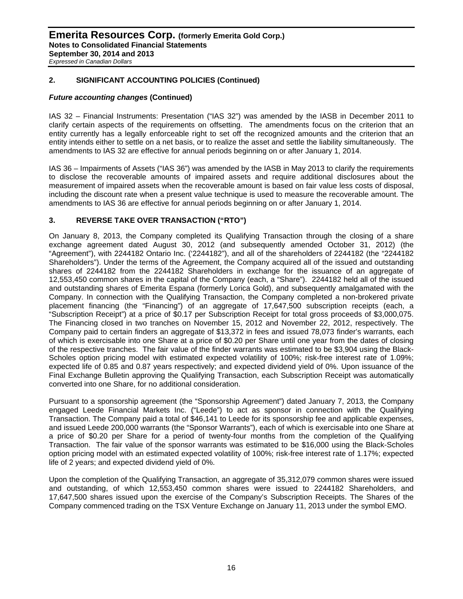#### *Future accounting changes* **(Continued)**

IAS 32 – Financial Instruments: Presentation ("IAS 32") was amended by the IASB in December 2011 to clarify certain aspects of the requirements on offsetting. The amendments focus on the criterion that an entity currently has a legally enforceable right to set off the recognized amounts and the criterion that an entity intends either to settle on a net basis, or to realize the asset and settle the liability simultaneously. The amendments to IAS 32 are effective for annual periods beginning on or after January 1, 2014.

IAS 36 – Impairments of Assets ("IAS 36") was amended by the IASB in May 2013 to clarify the requirements to disclose the recoverable amounts of impaired assets and require additional disclosures about the measurement of impaired assets when the recoverable amount is based on fair value less costs of disposal, including the discount rate when a present value technique is used to measure the recoverable amount. The amendments to IAS 36 are effective for annual periods beginning on or after January 1, 2014.

## **3. REVERSE TAKE OVER TRANSACTION ("RTO")**

On January 8, 2013, the Company completed its Qualifying Transaction through the closing of a share exchange agreement dated August 30, 2012 (and subsequently amended October 31, 2012) (the "Agreement"), with 2244182 Ontario Inc. ('2244182"), and all of the shareholders of 2244182 (the "2244182 Shareholders"). Under the terms of the Agreement, the Company acquired all of the issued and outstanding shares of 2244182 from the 2244182 Shareholders in exchange for the issuance of an aggregate of 12,553,450 common shares in the capital of the Company (each, a "Share"). 2244182 held all of the issued and outstanding shares of Emerita Espana (formerly Lorica Gold), and subsequently amalgamated with the Company. In connection with the Qualifying Transaction, the Company completed a non-brokered private placement financing (the "Financing") of an aggregate of 17,647,500 subscription receipts (each, a "Subscription Receipt") at a price of \$0.17 per Subscription Receipt for total gross proceeds of \$3,000,075. The Financing closed in two tranches on November 15, 2012 and November 22, 2012, respectively. The Company paid to certain finders an aggregate of \$13,372 in fees and issued 78,073 finder's warrants, each of which is exercisable into one Share at a price of \$0.20 per Share until one year from the dates of closing of the respective tranches. The fair value of the finder warrants was estimated to be \$3,904 using the Black-Scholes option pricing model with estimated expected volatility of 100%; risk-free interest rate of 1.09%; expected life of 0.85 and 0.87 years respectively; and expected dividend yield of 0%. Upon issuance of the Final Exchange Bulletin approving the Qualifying Transaction, each Subscription Receipt was automatically converted into one Share, for no additional consideration.

Pursuant to a sponsorship agreement (the "Sponsorship Agreement") dated January 7, 2013, the Company engaged Leede Financial Markets Inc. ("Leede") to act as sponsor in connection with the Qualifying Transaction. The Company paid a total of \$46,141 to Leede for its sponsorship fee and applicable expenses, and issued Leede 200,000 warrants (the "Sponsor Warrants"), each of which is exercisable into one Share at a price of \$0.20 per Share for a period of twenty-four months from the completion of the Qualifying Transaction. The fair value of the sponsor warrants was estimated to be \$16,000 using the Black-Scholes option pricing model with an estimated expected volatility of 100%; risk-free interest rate of 1.17%; expected life of 2 years; and expected dividend yield of 0%.

Upon the completion of the Qualifying Transaction, an aggregate of 35,312,079 common shares were issued and outstanding, of which 12,553,450 common shares were issued to 2244182 Shareholders, and 17,647,500 shares issued upon the exercise of the Company's Subscription Receipts. The Shares of the Company commenced trading on the TSX Venture Exchange on January 11, 2013 under the symbol EMO.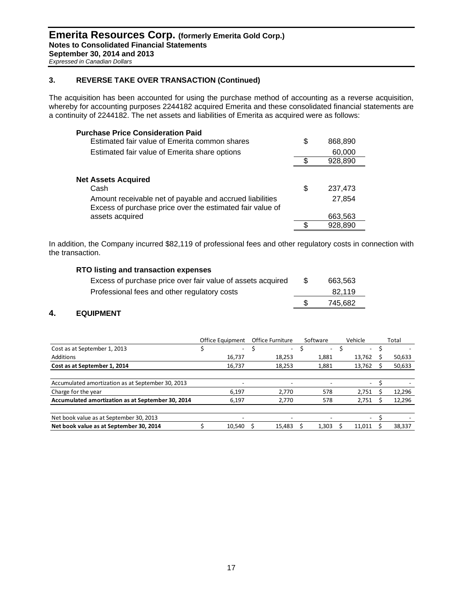## **3. REVERSE TAKE OVER TRANSACTION (Continued)**

The acquisition has been accounted for using the purchase method of accounting as a reverse acquisition, whereby for accounting purposes 2244182 acquired Emerita and these consolidated financial statements are a continuity of 2244182. The net assets and liabilities of Emerita as acquired were as follows:

| <b>Purchase Price Consideration Paid</b>                                                                                                 |                   |
|------------------------------------------------------------------------------------------------------------------------------------------|-------------------|
| Estimated fair value of Emerita common shares                                                                                            | \$<br>868,890     |
| Estimated fair value of Emerita share options                                                                                            | 60,000            |
|                                                                                                                                          | 928,890           |
| <b>Net Assets Acquired</b><br>Cash                                                                                                       | \$<br>237,473     |
| Amount receivable net of payable and accrued liabilities<br>Excess of purchase price over the estimated fair value of<br>assets acquired | 27.854<br>663,563 |
|                                                                                                                                          | 928.890           |

In addition, the Company incurred \$82,119 of professional fees and other regulatory costs in connection with the transaction.

## **RTO listing and transaction expenses**

| Excess of purchase price over fair value of assets acquired | 663.563 |
|-------------------------------------------------------------|---------|
| Professional fees and other regulatory costs                | 82.119  |
|                                                             | 745.682 |

## **4. EQUIPMENT**

|                                                   | Office Equipment         | Office Furniture         | Software                 | Vehicle                  | Total  |
|---------------------------------------------------|--------------------------|--------------------------|--------------------------|--------------------------|--------|
| Cost as at September 1, 2013                      | $\overline{\phantom{a}}$ | $\overline{\phantom{a}}$ | $\overline{\phantom{a}}$ | $\overline{\phantom{a}}$ |        |
| Additions                                         | 16,737                   | 18,253                   | 1,881                    | 13,762                   | 50,633 |
| Cost as at September 1, 2014                      | 16,737                   | 18,253                   | 1,881                    | 13,762                   | 50,633 |
|                                                   |                          |                          |                          |                          |        |
| Accumulated amortization as at September 30, 2013 |                          | $\overline{\phantom{a}}$ |                          | $\overline{\phantom{a}}$ |        |
| Charge for the year                               | 6.197                    | 2.770                    | 578                      | 2.751                    | 12,296 |
| Accumulated amortization as at September 30, 2014 | 6,197                    | 2,770                    | 578                      | 2,751                    | 12,296 |
|                                                   |                          |                          |                          |                          |        |
| Net book value as at September 30, 2013           |                          | $\overline{\phantom{a}}$ | $\overline{\phantom{a}}$ | $\overline{\phantom{a}}$ |        |
| Net book value as at September 30, 2014           | 10,540                   | 15.483                   | 1.303                    | 11.011                   | 38,337 |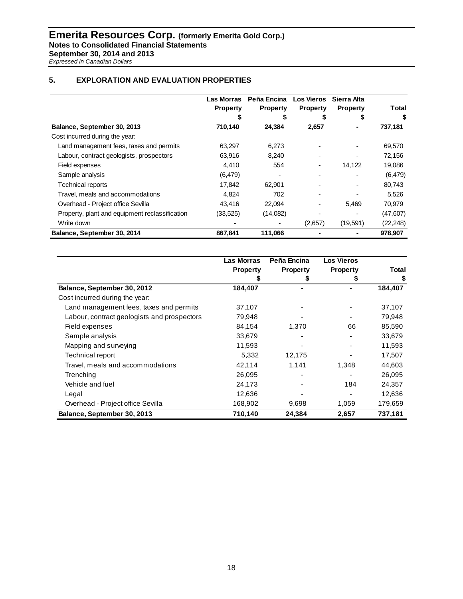*Expressed in Canadian Dollars* 

## **5. EXPLORATION AND EVALUATION PROPERTIES**

|                                                | <b>Las Morras</b> | Peña Encina     | <b>Los Vieros</b> | Sierra Alta     |           |
|------------------------------------------------|-------------------|-----------------|-------------------|-----------------|-----------|
|                                                | <b>Property</b>   | <b>Property</b> | <b>Property</b>   | <b>Property</b> | Total     |
|                                                | S                 | S               | S                 | 5               |           |
| Balance, September 30, 2013                    | 710,140           | 24,384          | 2,657             |                 | 737,181   |
| Cost incurred during the year:                 |                   |                 |                   |                 |           |
| Land management fees, taxes and permits        | 63,297            | 6,273           |                   |                 | 69,570    |
| Labour, contract geologists, prospectors       | 63,916            | 8,240           |                   |                 | 72,156    |
| Field expenses                                 | 4,410             | 554             |                   | 14,122          | 19,086    |
| Sample analysis                                | (6, 479)          |                 |                   |                 | (6, 479)  |
| <b>Technical reports</b>                       | 17,842            | 62,901          |                   |                 | 80,743    |
| Travel, meals and accommodations               | 4,824             | 702             |                   |                 | 5,526     |
| Overhead - Project office Sevilla              | 43,416            | 22,094          |                   | 5,469           | 70,979    |
| Property, plant and equipment reclassification | (33, 525)         | (14,082)        |                   |                 | (47, 607) |
| Write down                                     |                   |                 | (2,657)           | (19,591)        | (22, 248) |
| Balance, September 30, 2014                    | 867,841           | 111,066         |                   |                 | 978,907   |

|                                             | <b>Las Morras</b> | Peña Encina     | <b>Los Vieros</b> |         |
|---------------------------------------------|-------------------|-----------------|-------------------|---------|
|                                             | <b>Property</b>   | <b>Property</b> | <b>Property</b>   | Total   |
|                                             |                   |                 | 5                 | S       |
| Balance, September 30, 2012                 | 184,407           |                 |                   | 184,407 |
| Cost incurred during the year:              |                   |                 |                   |         |
| Land management fees, taxes and permits     | 37,107            |                 |                   | 37,107  |
| Labour, contract geologists and prospectors | 79,948            |                 |                   | 79,948  |
| Field expenses                              | 84,154            | 1,370           | 66                | 85,590  |
| Sample analysis                             | 33,679            |                 |                   | 33,679  |
| Mapping and surveying                       | 11,593            |                 |                   | 11,593  |
| Technical report                            | 5,332             | 12,175          |                   | 17,507  |
| Travel, meals and accommodations            | 42,114            | 1,141           | 1,348             | 44,603  |
| Trenching                                   | 26,095            |                 |                   | 26,095  |
| Vehicle and fuel                            | 24,173            |                 | 184               | 24,357  |
| Legal                                       | 12,636            |                 |                   | 12,636  |
| Overhead - Project office Sevilla           | 168,902           | 9,698           | 1,059             | 179,659 |
| Balance, September 30, 2013                 | 710,140           | 24,384          | 2,657             | 737,181 |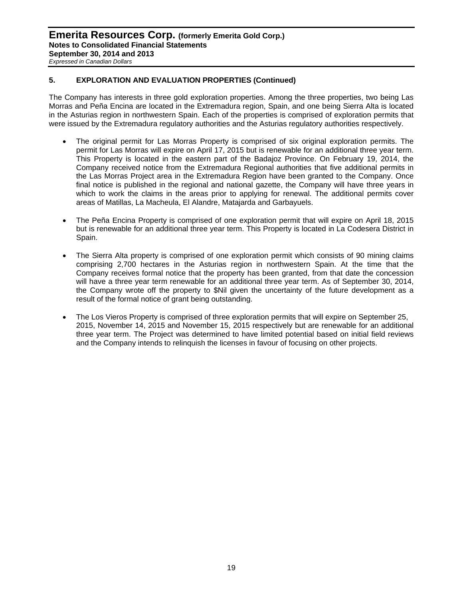## **5. EXPLORATION AND EVALUATION PROPERTIES (Continued)**

The Company has interests in three gold exploration properties. Among the three properties, two being Las Morras and Peña Encina are located in the Extremadura region, Spain, and one being Sierra Alta is located in the Asturias region in northwestern Spain. Each of the properties is comprised of exploration permits that were issued by the Extremadura regulatory authorities and the Asturias regulatory authorities respectively.

- The original permit for Las Morras Property is comprised of six original exploration permits. The permit for Las Morras will expire on April 17, 2015 but is renewable for an additional three year term. This Property is located in the eastern part of the Badajoz Province. On February 19, 2014, the Company received notice from the Extremadura Regional authorities that five additional permits in the Las Morras Project area in the Extremadura Region have been granted to the Company. Once final notice is published in the regional and national gazette, the Company will have three years in which to work the claims in the areas prior to applying for renewal. The additional permits cover areas of Matillas, La Macheula, El Alandre, Matajarda and Garbayuels.
- The Peña Encina Property is comprised of one exploration permit that will expire on April 18, 2015 but is renewable for an additional three year term. This Property is located in La Codesera District in Spain.
- The Sierra Alta property is comprised of one exploration permit which consists of 90 mining claims comprising 2,700 hectares in the Asturias region in northwestern Spain. At the time that the Company receives formal notice that the property has been granted, from that date the concession will have a three year term renewable for an additional three year term. As of September 30, 2014, the Company wrote off the property to \$Nil given the uncertainty of the future development as a result of the formal notice of grant being outstanding.
- The Los Vieros Property is comprised of three exploration permits that will expire on September 25, 2015, November 14, 2015 and November 15, 2015 respectively but are renewable for an additional three year term. The Project was determined to have limited potential based on initial field reviews and the Company intends to relinquish the licenses in favour of focusing on other projects.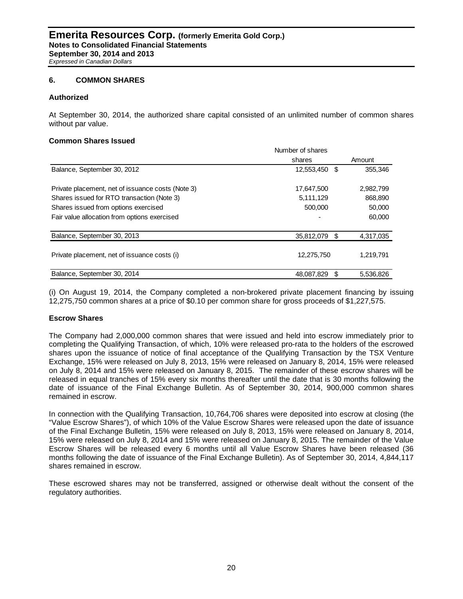## **6. COMMON SHARES**

#### **Authorized**

At September 30, 2014, the authorized share capital consisted of an unlimited number of common shares without par value.

#### **Common Shares Issued**

|                                                   | Number of shares |           |  |  |
|---------------------------------------------------|------------------|-----------|--|--|
|                                                   | shares           | Amount    |  |  |
| Balance, September 30, 2012                       | 12,553,450<br>\$ | 355.346   |  |  |
| Private placement, net of issuance costs (Note 3) | 17,647,500       | 2,982,799 |  |  |
| Shares issued for RTO transaction (Note 3)        | 5,111,129        | 868,890   |  |  |
| Shares issued from options exercised              | 500,000          | 50,000    |  |  |
| Fair value allocation from options exercised      |                  | 60,000    |  |  |
| Balance, September 30, 2013                       | 35,812,079<br>\$ | 4,317,035 |  |  |
| Private placement, net of issuance costs (i)      | 12,275,750       | 1,219,791 |  |  |
| Balance, September 30, 2014                       | 48,087,829<br>\$ | 5,536,826 |  |  |

(i) On August 19, 2014, the Company completed a non-brokered private placement financing by issuing 12,275,750 common shares at a price of \$0.10 per common share for gross proceeds of \$1,227,575.

#### **Escrow Shares**

The Company had 2,000,000 common shares that were issued and held into escrow immediately prior to completing the Qualifying Transaction, of which, 10% were released pro-rata to the holders of the escrowed shares upon the issuance of notice of final acceptance of the Qualifying Transaction by the TSX Venture Exchange, 15% were released on July 8, 2013, 15% were released on January 8, 2014, 15% were released on July 8, 2014 and 15% were released on January 8, 2015. The remainder of these escrow shares will be released in equal tranches of 15% every six months thereafter until the date that is 30 months following the date of issuance of the Final Exchange Bulletin. As of September 30, 2014, 900,000 common shares remained in escrow.

In connection with the Qualifying Transaction, 10,764,706 shares were deposited into escrow at closing (the "Value Escrow Shares"), of which 10% of the Value Escrow Shares were released upon the date of issuance of the Final Exchange Bulletin, 15% were released on July 8, 2013, 15% were released on January 8, 2014, 15% were released on July 8, 2014 and 15% were released on January 8, 2015. The remainder of the Value Escrow Shares will be released every 6 months until all Value Escrow Shares have been released (36 months following the date of issuance of the Final Exchange Bulletin). As of September 30, 2014, 4,844,117 shares remained in escrow.

These escrowed shares may not be transferred, assigned or otherwise dealt without the consent of the regulatory authorities.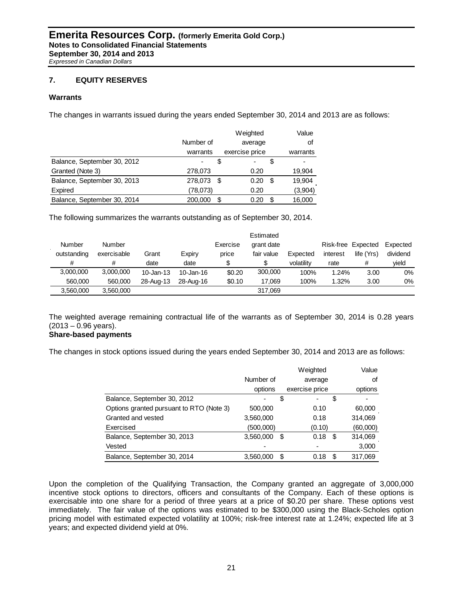## **7. EQUITY RESERVES**

## **Warrants**

The changes in warrants issued during the years ended September 30, 2014 and 2013 are as follows:

|                             |           |    | Weighted       |   | Value    |
|-----------------------------|-----------|----|----------------|---|----------|
|                             | Number of |    | average        |   | οf       |
|                             | warrants  |    | exercise price |   | warrants |
| Balance, September 30, 2012 | ٠         | S  | -              | S | -        |
| Granted (Note 3)            | 278,073   |    | 0.20           |   | 19,904   |
| Balance, September 30, 2013 | 278,073   | \$ | 0.20           | S | 19.904   |
| Expired                     | (78,073)  |    | 0.20           |   | (3,904)  |
| Balance, September 30, 2014 | 200,000   | S  | 0.20           | S | 16,000   |

The following summarizes the warrants outstanding as of September 30, 2014.

| Number      | Number      |               |               | Exercise | Estimated<br>grant date |            | Risk-free | Expected   | Expected |
|-------------|-------------|---------------|---------------|----------|-------------------------|------------|-----------|------------|----------|
| outstanding | exercisable | Grant         | Expiry        | price    | fair value              | Expected   | interest  | life (Yrs) | dividend |
| #           | #           | date          | date          | S        | \$                      | volatility | rate      | #          | yield    |
| 3,000,000   | 3.000.000   | $10 - Jan-13$ | $10 -$ Jan-16 | \$0.20   | 300,000                 | 100%       | 1.24%     | 3.00       | $0\%$    |
| 560,000     | 560,000     | 28-Aug-13     | 28-Aug-16     | \$0.10   | 17.069                  | 100%       | 1.32%     | 3.00       | $0\%$    |
| 3,560,000   | 3.560.000   |               |               |          | 317.069                 |            |           |            |          |

The weighted average remaining contractual life of the warrants as of September 30, 2014 is 0.28 years  $(2013 - 0.96 \text{ years}).$ 

## **Share-based payments**

The changes in stock options issued during the years ended September 30, 2014 and 2013 are as follows:

|                                          |           | Weighted       |    | Value    |
|------------------------------------------|-----------|----------------|----|----------|
|                                          | Number of | average        |    | οf       |
|                                          | options   | exercise price |    | options  |
| Balance, September 30, 2012              |           | \$             | S  |          |
| Options granted pursuant to RTO (Note 3) | 500,000   | 0.10           |    | 60,000   |
| Granted and vested                       | 3,560,000 | 0.18           |    | 314,069  |
| Exercised                                | (500,000) | (0.10)         |    | (60,000) |
| Balance, September 30, 2013              | 3,560,000 | 0.18<br>S      | \$ | 314,069  |
| Vested                                   |           |                |    | 3,000    |
| Balance, September 30, 2014              | 3,560,000 | \$<br>0.18     | S  | 317,069  |

Upon the completion of the Qualifying Transaction, the Company granted an aggregate of 3,000,000 incentive stock options to directors, officers and consultants of the Company. Each of these options is exercisable into one share for a period of three years at a price of \$0.20 per share. These options vest immediately. The fair value of the options was estimated to be \$300,000 using the Black-Scholes option pricing model with estimated expected volatility at 100%; risk-free interest rate at 1.24%; expected life at 3 years; and expected dividend yield at 0%.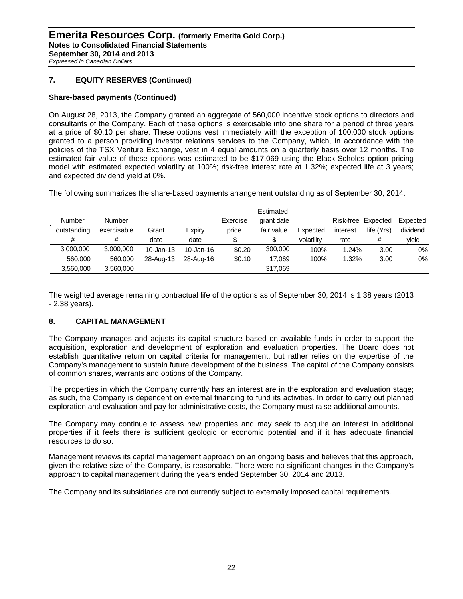## **7. EQUITY RESERVES (Continued)**

## **Share-based payments (Continued)**

On August 28, 2013, the Company granted an aggregate of 560,000 incentive stock options to directors and consultants of the Company. Each of these options is exercisable into one share for a period of three years at a price of \$0.10 per share. These options vest immediately with the exception of 100,000 stock options granted to a person providing investor relations services to the Company, which, in accordance with the policies of the TSX Venture Exchange, vest in 4 equal amounts on a quarterly basis over 12 months. The estimated fair value of these options was estimated to be \$17,069 using the Black-Scholes option pricing model with estimated expected volatility at 100%; risk-free interest rate at 1.32%; expected life at 3 years; and expected dividend yield at 0%.

The following summarizes the share-based payments arrangement outstanding as of September 30, 2014.

|             |             |               |               |          | Estimated  |            |           |            |          |
|-------------|-------------|---------------|---------------|----------|------------|------------|-----------|------------|----------|
| Number      | Number      |               |               | Exercise | grant date |            | Risk-free | Expected   | Expected |
| outstanding | exercisable | Grant         | Expiry        | price    | fair value | Expected   | interest  | life (Yrs) | dividend |
| #           | #           | date          | date          | \$       | \$         | volatility | rate      | #          | yield    |
| 3,000,000   | 3.000.000   | $10 - Jan-13$ | $10 -$ Jan-16 | \$0.20   | 300,000    | 100%       | 1.24%     | 3.00       | $0\%$    |
| 560,000     | 560,000     | 28-Aug-13     | 28-Aug-16     | \$0.10   | 17.069     | 100%       | 1.32%     | 3.00       | $0\%$    |
| 3,560,000   | 3,560,000   |               |               |          | 317.069    |            |           |            |          |

The weighted average remaining contractual life of the options as of September 30, 2014 is 1.38 years (2013 - 2.38 years).

## **8. CAPITAL MANAGEMENT**

The Company manages and adjusts its capital structure based on available funds in order to support the acquisition, exploration and development of exploration and evaluation properties. The Board does not establish quantitative return on capital criteria for management, but rather relies on the expertise of the Company's management to sustain future development of the business. The capital of the Company consists of common shares, warrants and options of the Company.

The properties in which the Company currently has an interest are in the exploration and evaluation stage; as such, the Company is dependent on external financing to fund its activities. In order to carry out planned exploration and evaluation and pay for administrative costs, the Company must raise additional amounts.

The Company may continue to assess new properties and may seek to acquire an interest in additional properties if it feels there is sufficient geologic or economic potential and if it has adequate financial resources to do so.

Management reviews its capital management approach on an ongoing basis and believes that this approach, given the relative size of the Company, is reasonable. There were no significant changes in the Company's approach to capital management during the years ended September 30, 2014 and 2013.

The Company and its subsidiaries are not currently subject to externally imposed capital requirements.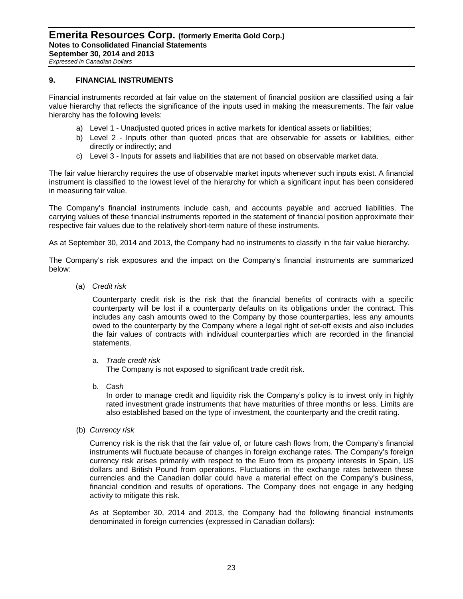#### **9. FINANCIAL INSTRUMENTS**

Financial instruments recorded at fair value on the statement of financial position are classified using a fair value hierarchy that reflects the significance of the inputs used in making the measurements. The fair value hierarchy has the following levels:

- a) Level 1 Unadjusted quoted prices in active markets for identical assets or liabilities;
- b) Level 2 Inputs other than quoted prices that are observable for assets or liabilities, either directly or indirectly; and
- c) Level 3 Inputs for assets and liabilities that are not based on observable market data.

The fair value hierarchy requires the use of observable market inputs whenever such inputs exist. A financial instrument is classified to the lowest level of the hierarchy for which a significant input has been considered in measuring fair value.

The Company's financial instruments include cash, and accounts payable and accrued liabilities. The carrying values of these financial instruments reported in the statement of financial position approximate their respective fair values due to the relatively short-term nature of these instruments.

As at September 30, 2014 and 2013, the Company had no instruments to classify in the fair value hierarchy.

The Company's risk exposures and the impact on the Company's financial instruments are summarized below:

(a) *Credit risk* 

Counterparty credit risk is the risk that the financial benefits of contracts with a specific counterparty will be lost if a counterparty defaults on its obligations under the contract. This includes any cash amounts owed to the Company by those counterparties, less any amounts owed to the counterparty by the Company where a legal right of set-off exists and also includes the fair values of contracts with individual counterparties which are recorded in the financial statements.

a. *Trade credit risk*

The Company is not exposed to significant trade credit risk.

b. *Cash*

In order to manage credit and liquidity risk the Company's policy is to invest only in highly rated investment grade instruments that have maturities of three months or less. Limits are also established based on the type of investment, the counterparty and the credit rating.

(b) *Currency risk* 

Currency risk is the risk that the fair value of, or future cash flows from, the Company's financial instruments will fluctuate because of changes in foreign exchange rates. The Company's foreign currency risk arises primarily with respect to the Euro from its property interests in Spain, US dollars and British Pound from operations. Fluctuations in the exchange rates between these currencies and the Canadian dollar could have a material effect on the Company's business, financial condition and results of operations. The Company does not engage in any hedging activity to mitigate this risk.

As at September 30, 2014 and 2013, the Company had the following financial instruments denominated in foreign currencies (expressed in Canadian dollars):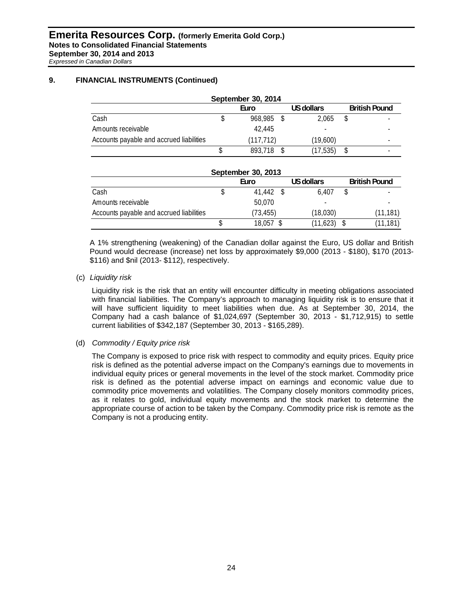## **9. FINANCIAL INSTRUMENTS (Continued)**

| September 30, 2014                       |  |            |  |            |  |                      |  |  |  |
|------------------------------------------|--|------------|--|------------|--|----------------------|--|--|--|
|                                          |  | Euro       |  | US dollars |  | <b>British Pound</b> |  |  |  |
| Cash                                     |  | 968,985 \$ |  | 2.065      |  |                      |  |  |  |
| Amounts receivable                       |  | 42,445     |  |            |  |                      |  |  |  |
| Accounts payable and accrued liabilities |  | (117, 712) |  | (19,600)   |  |                      |  |  |  |
|                                          |  | 893,718    |  | (17, 535)  |  |                      |  |  |  |

|                                          | September 30, 2013 |            |                      |
|------------------------------------------|--------------------|------------|----------------------|
|                                          | Euro               | US dollars | <b>British Pound</b> |
| Cash                                     | $41.442 \text{ }$  | 6.407      |                      |
| Amounts receivable                       | 50,070             |            |                      |
| Accounts payable and accrued liabilities | (73, 455)          | (18,030)   | (11, 181)            |
|                                          | 18,057 \$          | (11,623)   | (11, 181)            |

A 1% strengthening (weakening) of the Canadian dollar against the Euro, US dollar and British Pound would decrease (increase) net loss by approximately \$9,000 (2013 - \$180), \$170 (2013- \$116) and \$nil (2013- \$112), respectively.

(c) *Liquidity risk* 

Liquidity risk is the risk that an entity will encounter difficulty in meeting obligations associated with financial liabilities. The Company's approach to managing liquidity risk is to ensure that it will have sufficient liquidity to meet liabilities when due. As at September 30, 2014, the Company had a cash balance of \$1,024,697 (September 30, 2013 - \$1,712,915) to settle current liabilities of \$342,187 (September 30, 2013 - \$165,289).

(d) *Commodity / Equity price risk* 

The Company is exposed to price risk with respect to commodity and equity prices. Equity price risk is defined as the potential adverse impact on the Company's earnings due to movements in individual equity prices or general movements in the level of the stock market. Commodity price risk is defined as the potential adverse impact on earnings and economic value due to commodity price movements and volatilities. The Company closely monitors commodity prices, as it relates to gold, individual equity movements and the stock market to determine the appropriate course of action to be taken by the Company. Commodity price risk is remote as the Company is not a producing entity.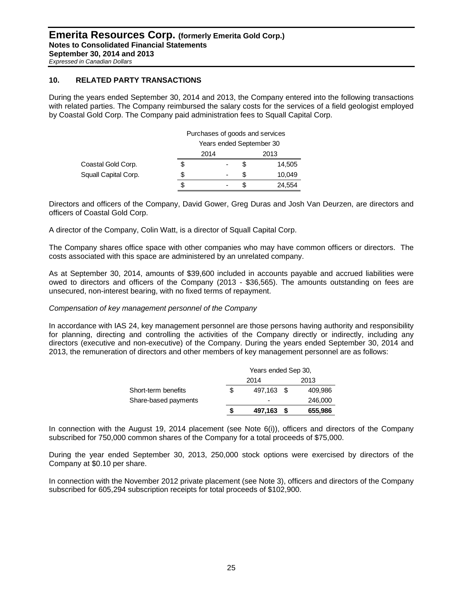#### **10. RELATED PARTY TRANSACTIONS**

During the years ended September 30, 2014 and 2013, the Company entered into the following transactions with related parties. The Company reimbursed the salary costs for the services of a field geologist employed by Coastal Gold Corp. The Company paid administration fees to Squall Capital Corp.

|                      |   | Purchases of goods and services |  |        |  |  |  |
|----------------------|---|---------------------------------|--|--------|--|--|--|
|                      |   | Years ended September 30        |  |        |  |  |  |
|                      |   | 2014                            |  | 2013   |  |  |  |
| Coastal Gold Corp.   | S |                                 |  | 14,505 |  |  |  |
| Squall Capital Corp. |   | ٠                               |  | 10,049 |  |  |  |
|                      |   |                                 |  | 24,554 |  |  |  |

Directors and officers of the Company, David Gower, Greg Duras and Josh Van Deurzen, are directors and officers of Coastal Gold Corp.

A director of the Company, Colin Watt, is a director of Squall Capital Corp.

The Company shares office space with other companies who may have common officers or directors. The costs associated with this space are administered by an unrelated company.

As at September 30, 2014, amounts of \$39,600 included in accounts payable and accrued liabilities were owed to directors and officers of the Company (2013 - \$36,565). The amounts outstanding on fees are unsecured, non-interest bearing, with no fixed terms of repayment.

#### *Compensation of key management personnel of the Company*

In accordance with IAS 24, key management personnel are those persons having authority and responsibility for planning, directing and controlling the activities of the Company directly or indirectly, including any directors (executive and non-executive) of the Company. During the years ended September 30, 2014 and 2013, the remuneration of directors and other members of key management personnel are as follows:

|                      |   | Years ended Sep 30, |      |         |  |  |  |  |
|----------------------|---|---------------------|------|---------|--|--|--|--|
|                      |   | 2014                |      | 2013    |  |  |  |  |
| Short-term benefits  | S | 497.163             | - \$ | 409.986 |  |  |  |  |
| Share-based payments |   | -                   |      | 246,000 |  |  |  |  |
|                      |   | 497,163             |      | 655,986 |  |  |  |  |

In connection with the August 19, 2014 placement (see Note 6(i)), officers and directors of the Company subscribed for 750,000 common shares of the Company for a total proceeds of \$75,000.

During the year ended September 30, 2013, 250,000 stock options were exercised by directors of the Company at \$0.10 per share.

In connection with the November 2012 private placement (see Note 3), officers and directors of the Company subscribed for 605,294 subscription receipts for total proceeds of \$102,900.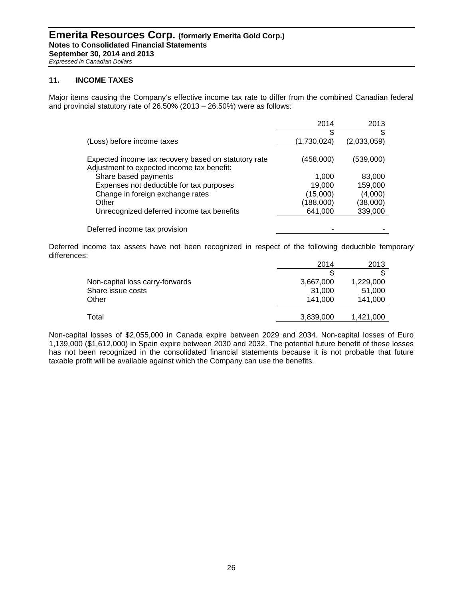## **11. INCOME TAXES**

Major items causing the Company's effective income tax rate to differ from the combined Canadian federal and provincial statutory rate of 26.50% (2013 – 26.50%) were as follows:

|                                                      | 2014        | 2013        |
|------------------------------------------------------|-------------|-------------|
|                                                      | \$          | S           |
| (Loss) before income taxes                           | (1,730,024) | (2,033,059) |
|                                                      |             |             |
| Expected income tax recovery based on statutory rate | (458,000)   | (539,000)   |
| Adjustment to expected income tax benefit:           |             |             |
| Share based payments                                 | 1,000       | 83,000      |
| Expenses not deductible for tax purposes             | 19,000      | 159,000     |
| Change in foreign exchange rates                     | (15,000)    | (4,000)     |
| Other                                                | (188,000)   | (38,000)    |
| Unrecognized deferred income tax benefits            | 641,000     | 339,000     |
|                                                      |             |             |
| Deferred income tax provision                        |             |             |

Deferred income tax assets have not been recognized in respect of the following deductible temporary differences:

|                                 | 2014      | 2013      |
|---------------------------------|-----------|-----------|
|                                 |           |           |
| Non-capital loss carry-forwards | 3,667,000 | 1,229,000 |
| Share issue costs               | 31,000    | 51,000    |
| Other                           | 141.000   | 141,000   |
|                                 |           |           |
| Total                           | 3,839,000 | 1,421,000 |
|                                 |           |           |

Non-capital losses of \$2,055,000 in Canada expire between 2029 and 2034. Non-capital losses of Euro 1,139,000 (\$1,612,000) in Spain expire between 2030 and 2032. The potential future benefit of these losses has not been recognized in the consolidated financial statements because it is not probable that future taxable profit will be available against which the Company can use the benefits.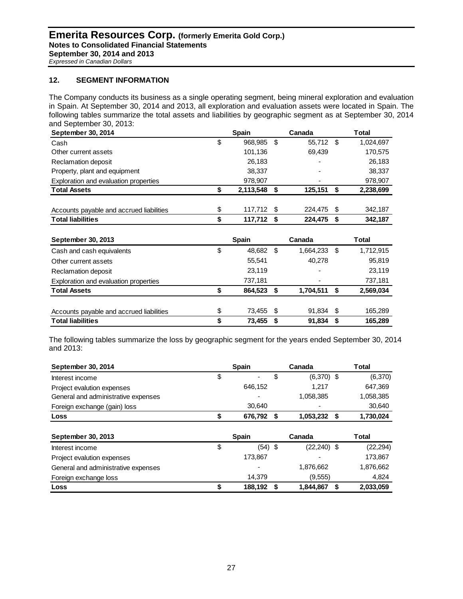## **12. SEGMENT INFORMATION**

The Company conducts its business as a single operating segment, being mineral exploration and evaluation in Spain. At September 30, 2014 and 2013, all exploration and evaluation assets were located in Spain. The following tables summarize the total assets and liabilities by geographic segment as at September 30, 2014 and September 30, 2013:

| September 30, 2014                       | <b>Spain</b>     | Canada       |      | Total     |
|------------------------------------------|------------------|--------------|------|-----------|
| Cash                                     | \$<br>968,985    | \$<br>55,712 | - \$ | 1,024,697 |
| Other current assets                     | 101,136          | 69,439       |      | 170,575   |
| Reclamation deposit                      | 26,183           |              |      | 26,183    |
| Property, plant and equipment            | 38.337           |              |      | 38,337    |
| Exploration and evaluation properties    | 978,907          |              |      | 978,907   |
| <b>Total Assets</b>                      | 2,113,548        | 125.151      | S    | 2,238,699 |
|                                          |                  |              |      |           |
| Accounts payable and accrued liabilities | \$<br>117,712 \$ | 224.475      | -S   | 342,187   |
| <b>Total liabilities</b>                 | \$<br>117.712    | 224,475      | S    | 342.187   |

| September 30, 2013                       | <b>Spain</b>  |      | Canada    |    | Total     |
|------------------------------------------|---------------|------|-----------|----|-----------|
| Cash and cash equivalents                | \$<br>48,682  | S    | 1,664,233 | S  | 1,712,915 |
| Other current assets                     | 55,541        |      | 40,278    |    | 95,819    |
| Reclamation deposit                      | 23.119        |      |           |    | 23,119    |
| Exploration and evaluation properties    | 737,181       |      |           |    | 737,181   |
| <b>Total Assets</b>                      | \$<br>864.523 |      | 1,704,511 | \$ | 2,569,034 |
| Accounts payable and accrued liabilities | \$<br>73,455  | - \$ | 91,834    | -S | 165,289   |
| <b>Total liabilities</b>                 | \$<br>73,455  | S    | 91,834    | S  | 165,289   |

The following tables summarize the loss by geographic segment for the years ended September 30, 2014 and 2013:

|                          | Canada                   | Total        |
|--------------------------|--------------------------|--------------|
| ٠                        |                          | (6,370)      |
| 646.152                  | 1.217                    | 647,369      |
| $\overline{\phantom{0}}$ | 1,058,385                | 1,058,385    |
| 30.640                   | $\overline{\phantom{0}}$ | 30,640       |
| 676.792                  | 1,053,232                | 1,730,024    |
|                          | <b>Spain</b>             | $(6,370)$ \$ |

| September 30, 2013                  | <b>Spain</b>             | Canada         | Total     |
|-------------------------------------|--------------------------|----------------|-----------|
| Interest income                     | \$<br>$(54)$ \$          | $(22, 240)$ \$ | (22, 294) |
| Project evalution expenses          | 173.867                  |                | 173,867   |
| General and administrative expenses | $\overline{\phantom{0}}$ | 1,876,662      | 1,876,662 |
| Foreign exchange loss               | 14.379                   | (9.555)        | 4,824     |
| <b>Loss</b>                         | 188.192                  | 1,844,867      | 2,033,059 |